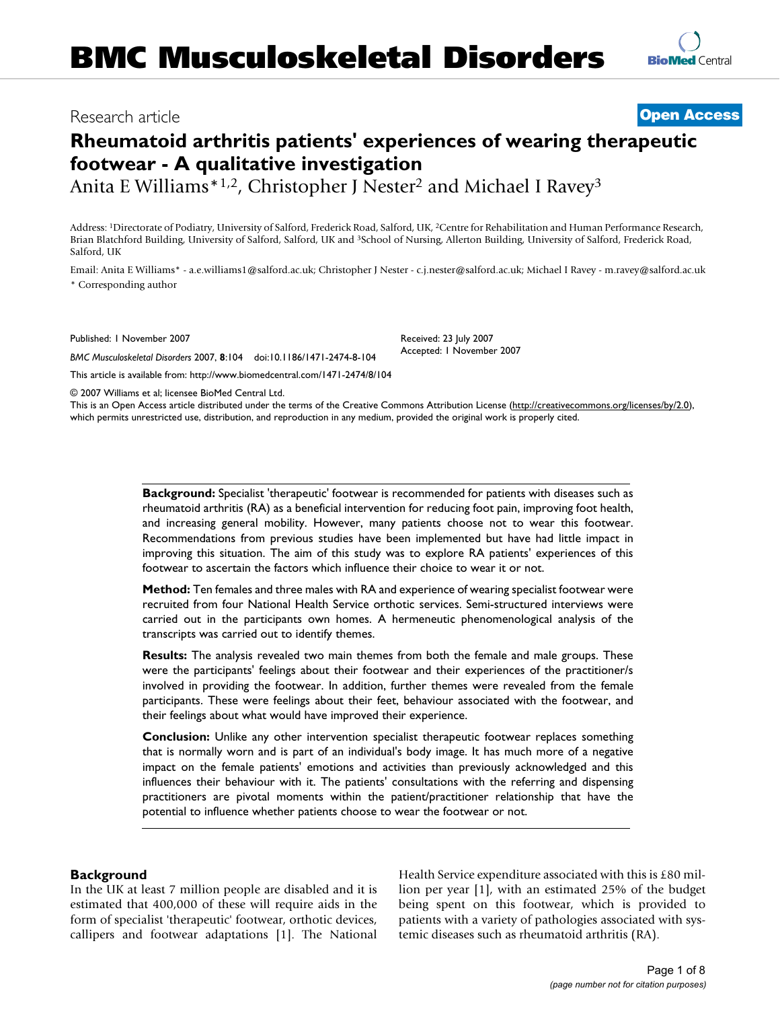# Research article **[Open Access](http://www.biomedcentral.com/info/about/charter/) Rheumatoid arthritis patients' experiences of wearing therapeutic footwear - A qualitative investigation**

Anita E Williams\*1,2, Christopher J Nester2 and Michael I Ravey3

Address: 1Directorate of Podiatry, University of Salford, Frederick Road, Salford, UK, 2Centre for Rehabilitation and Human Performance Research, Brian Blatchford Building, University of Salford, Salford, UK and 3School of Nursing, Allerton Building, University of Salford, Frederick Road, Salford, UK

Email: Anita E Williams\* - a.e.williams1@salford.ac.uk; Christopher J Nester - c.j.nester@salford.ac.uk; Michael I Ravey - m.ravey@salford.ac.uk \* Corresponding author

Published: 1 November 2007

*BMC Musculoskeletal Disorders* 2007, **8**:104 doi:10.1186/1471-2474-8-104 [This article is available from: http://www.biomedcentral.com/1471-2474/8/104](http://www.biomedcentral.com/1471-2474/8/104)

Received: 23 July 2007 Accepted: 1 November 2007

© 2007 Williams et al; licensee BioMed Central Ltd.

This is an Open Access article distributed under the terms of the Creative Commons Attribution License [\(http://creativecommons.org/licenses/by/2.0\)](http://creativecommons.org/licenses/by/2.0), which permits unrestricted use, distribution, and reproduction in any medium, provided the original work is properly cited.

> **Background:** Specialist 'therapeutic' footwear is recommended for patients with diseases such as rheumatoid arthritis (RA) as a beneficial intervention for reducing foot pain, improving foot health, and increasing general mobility. However, many patients choose not to wear this footwear. Recommendations from previous studies have been implemented but have had little impact in improving this situation. The aim of this study was to explore RA patients' experiences of this footwear to ascertain the factors which influence their choice to wear it or not.

> **Method:** Ten females and three males with RA and experience of wearing specialist footwear were recruited from four National Health Service orthotic services. Semi-structured interviews were carried out in the participants own homes. A hermeneutic phenomenological analysis of the transcripts was carried out to identify themes.

> **Results:** The analysis revealed two main themes from both the female and male groups. These were the participants' feelings about their footwear and their experiences of the practitioner/s involved in providing the footwear. In addition, further themes were revealed from the female participants. These were feelings about their feet, behaviour associated with the footwear, and their feelings about what would have improved their experience.

> **Conclusion:** Unlike any other intervention specialist therapeutic footwear replaces something that is normally worn and is part of an individual's body image. It has much more of a negative impact on the female patients' emotions and activities than previously acknowledged and this influences their behaviour with it. The patients' consultations with the referring and dispensing practitioners are pivotal moments within the patient/practitioner relationship that have the potential to influence whether patients choose to wear the footwear or not.

### **Background**

In the UK at least 7 million people are disabled and it is estimated that 400,000 of these will require aids in the form of specialist 'therapeutic' footwear, orthotic devices, callipers and footwear adaptations [1]. The National Health Service expenditure associated with this is £80 million per year [1], with an estimated 25% of the budget being spent on this footwear, which is provided to patients with a variety of pathologies associated with systemic diseases such as rheumatoid arthritis (RA).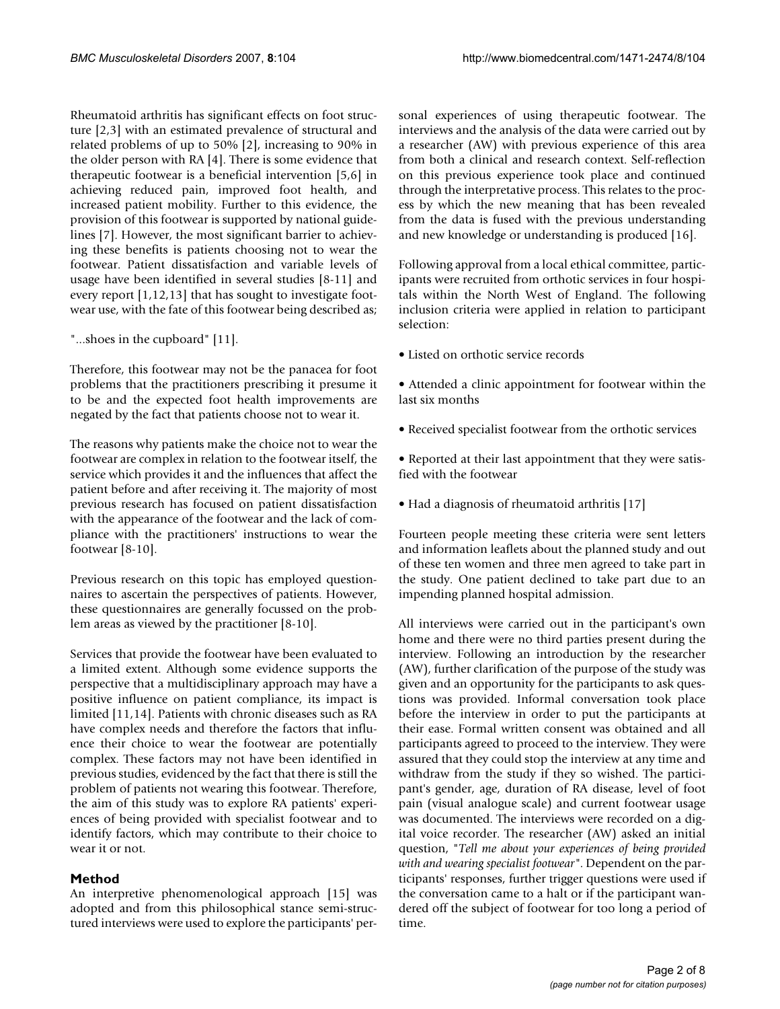Rheumatoid arthritis has significant effects on foot structure [2,3] with an estimated prevalence of structural and related problems of up to 50% [2], increasing to 90% in the older person with RA [4]. There is some evidence that therapeutic footwear is a beneficial intervention [5,6] in achieving reduced pain, improved foot health, and increased patient mobility. Further to this evidence, the provision of this footwear is supported by national guidelines [7]. However, the most significant barrier to achieving these benefits is patients choosing not to wear the footwear. Patient dissatisfaction and variable levels of usage have been identified in several studies [8-11] and every report [1,12,13] that has sought to investigate footwear use, with the fate of this footwear being described as;

"...shoes in the cupboard" [11].

Therefore, this footwear may not be the panacea for foot problems that the practitioners prescribing it presume it to be and the expected foot health improvements are negated by the fact that patients choose not to wear it.

The reasons why patients make the choice not to wear the footwear are complex in relation to the footwear itself, the service which provides it and the influences that affect the patient before and after receiving it. The majority of most previous research has focused on patient dissatisfaction with the appearance of the footwear and the lack of compliance with the practitioners' instructions to wear the footwear [8-10].

Previous research on this topic has employed questionnaires to ascertain the perspectives of patients. However, these questionnaires are generally focussed on the problem areas as viewed by the practitioner [8-10].

Services that provide the footwear have been evaluated to a limited extent. Although some evidence supports the perspective that a multidisciplinary approach may have a positive influence on patient compliance, its impact is limited [11,14]. Patients with chronic diseases such as RA have complex needs and therefore the factors that influence their choice to wear the footwear are potentially complex. These factors may not have been identified in previous studies, evidenced by the fact that there is still the problem of patients not wearing this footwear. Therefore, the aim of this study was to explore RA patients' experiences of being provided with specialist footwear and to identify factors, which may contribute to their choice to wear it or not.

# **Method**

An interpretive phenomenological approach [15] was adopted and from this philosophical stance semi-structured interviews were used to explore the participants' personal experiences of using therapeutic footwear. The interviews and the analysis of the data were carried out by a researcher (AW) with previous experience of this area from both a clinical and research context. Self-reflection on this previous experience took place and continued through the interpretative process. This relates to the process by which the new meaning that has been revealed from the data is fused with the previous understanding and new knowledge or understanding is produced [16].

Following approval from a local ethical committee, participants were recruited from orthotic services in four hospitals within the North West of England. The following inclusion criteria were applied in relation to participant selection:

• Listed on orthotic service records

• Attended a clinic appointment for footwear within the last six months

- Received specialist footwear from the orthotic services
- Reported at their last appointment that they were satisfied with the footwear
- Had a diagnosis of rheumatoid arthritis [17]

Fourteen people meeting these criteria were sent letters and information leaflets about the planned study and out of these ten women and three men agreed to take part in the study. One patient declined to take part due to an impending planned hospital admission.

All interviews were carried out in the participant's own home and there were no third parties present during the interview. Following an introduction by the researcher (AW), further clarification of the purpose of the study was given and an opportunity for the participants to ask questions was provided. Informal conversation took place before the interview in order to put the participants at their ease. Formal written consent was obtained and all participants agreed to proceed to the interview. They were assured that they could stop the interview at any time and withdraw from the study if they so wished. The participant's gender, age, duration of RA disease, level of foot pain (visual analogue scale) and current footwear usage was documented. The interviews were recorded on a digital voice recorder. The researcher (AW) asked an initial question, "*Tell me about your experiences of being provided with and wearing specialist footwear"*. Dependent on the participants' responses, further trigger questions were used if the conversation came to a halt or if the participant wandered off the subject of footwear for too long a period of time.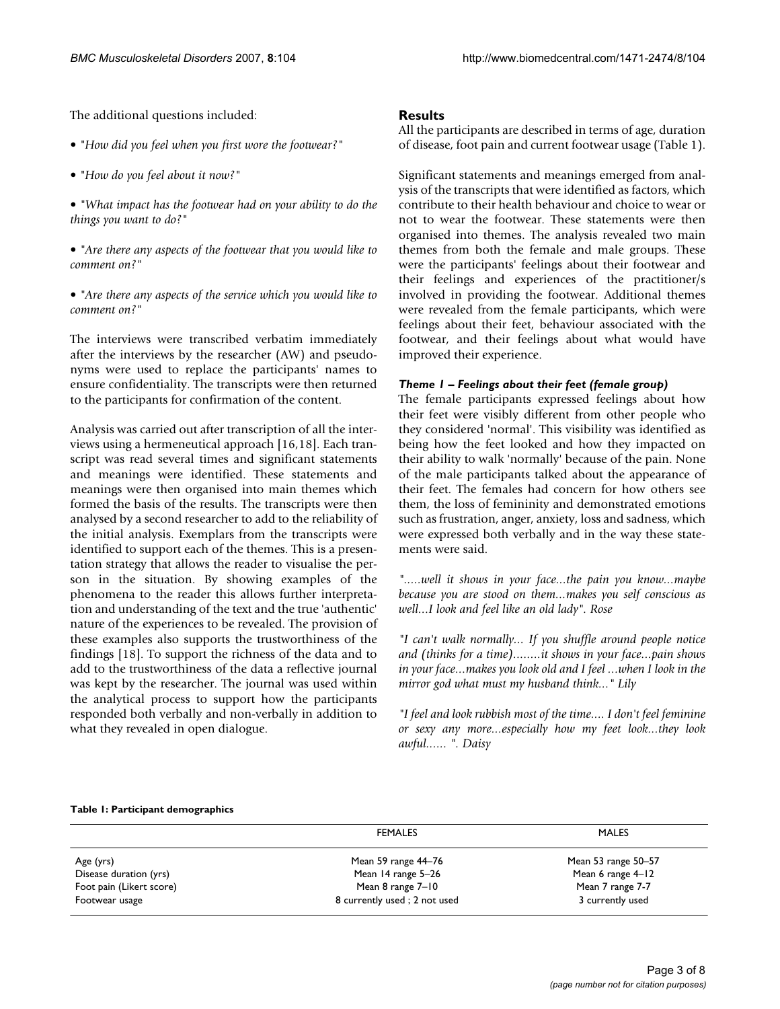The additional questions included:

- *"How did you feel when you first wore the footwear?"*
- *"How do you feel about it now?"*
- *"What impact has the footwear had on your ability to do the things you want to do?"*
- *"Are there any aspects of the footwear that you would like to comment on?"*
- *"Are there any aspects of the service which you would like to comment on?"*

The interviews were transcribed verbatim immediately after the interviews by the researcher (AW) and pseudonyms were used to replace the participants' names to ensure confidentiality. The transcripts were then returned to the participants for confirmation of the content.

Analysis was carried out after transcription of all the interviews using a hermeneutical approach [16,18]. Each transcript was read several times and significant statements and meanings were identified. These statements and meanings were then organised into main themes which formed the basis of the results. The transcripts were then analysed by a second researcher to add to the reliability of the initial analysis. Exemplars from the transcripts were identified to support each of the themes. This is a presentation strategy that allows the reader to visualise the person in the situation. By showing examples of the phenomena to the reader this allows further interpretation and understanding of the text and the true 'authentic' nature of the experiences to be revealed. The provision of these examples also supports the trustworthiness of the findings [18]. To support the richness of the data and to add to the trustworthiness of the data a reflective journal was kept by the researcher. The journal was used within the analytical process to support how the participants responded both verbally and non-verbally in addition to what they revealed in open dialogue.

#### **Results**

All the participants are described in terms of age, duration of disease, foot pain and current footwear usage (Table 1).

Significant statements and meanings emerged from analysis of the transcripts that were identified as factors, which contribute to their health behaviour and choice to wear or not to wear the footwear. These statements were then organised into themes. The analysis revealed two main themes from both the female and male groups. These were the participants' feelings about their footwear and their feelings and experiences of the practitioner/s involved in providing the footwear. Additional themes were revealed from the female participants, which were feelings about their feet, behaviour associated with the footwear, and their feelings about what would have improved their experience.

#### *Theme 1 – Feelings about their feet (female group)*

The female participants expressed feelings about how their feet were visibly different from other people who they considered 'normal'. This visibility was identified as being how the feet looked and how they impacted on their ability to walk 'normally' because of the pain. None of the male participants talked about the appearance of their feet. The females had concern for how others see them, the loss of femininity and demonstrated emotions such as frustration, anger, anxiety, loss and sadness, which were expressed both verbally and in the way these statements were said.

*".....well it shows in your face...the pain you know...maybe because you are stood on them...makes you self conscious as well...I look and feel like an old lady". Rose*

*"I can't walk normally... If you shuffle around people notice and (thinks for a time)........it shows in your face...pain shows in your face...makes you look old and I feel ...when I look in the mirror god what must my husband think..." Lily*

*"I feel and look rubbish most of the time.... I don't feel feminine or sexy any more...especially how my feet look...they look awful...... ". Daisy*

#### **Table 1: Participant demographics**

|                          | <b>FEMALES</b>               | <b>MALES</b>        |
|--------------------------|------------------------------|---------------------|
| Age (yrs)                | Mean 59 range 44–76          | Mean 53 range 50–57 |
| Disease duration (yrs)   | Mean 14 range 5-26           | Mean 6 range 4–12   |
| Foot pain (Likert score) | Mean 8 range 7-10            | Mean 7 range 7-7    |
| Footwear usage           | 8 currently used; 2 not used | 3 currently used    |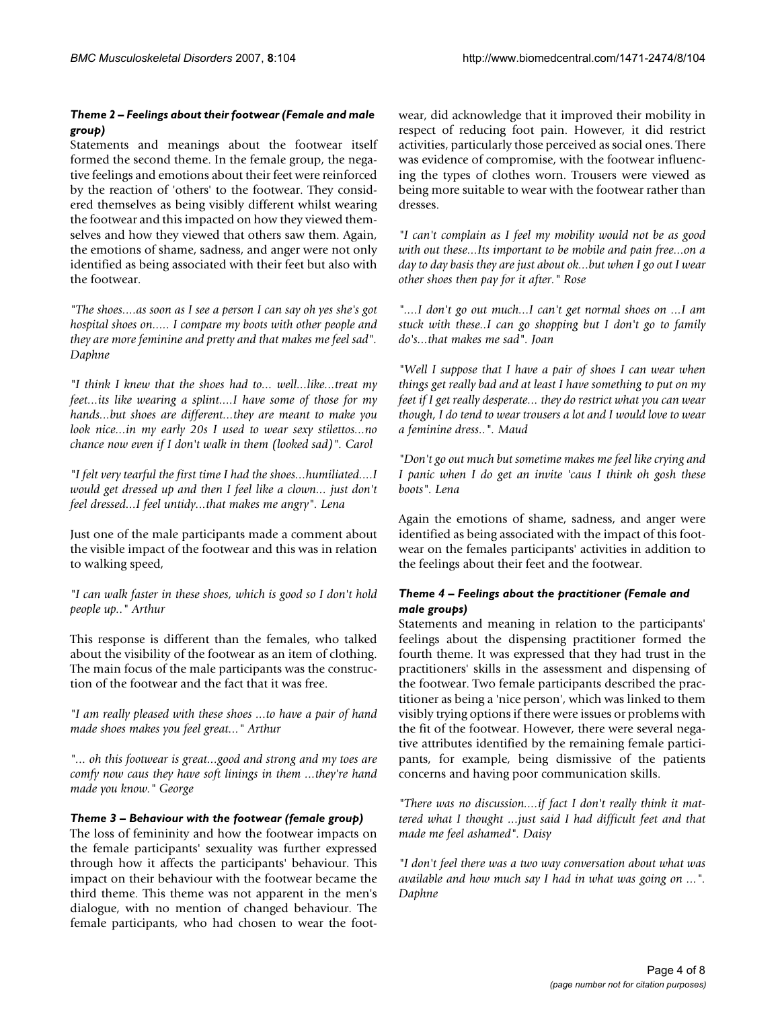#### *Theme 2 – Feelings about their footwear (Female and male group)*

Statements and meanings about the footwear itself formed the second theme. In the female group, the negative feelings and emotions about their feet were reinforced by the reaction of 'others' to the footwear. They considered themselves as being visibly different whilst wearing the footwear and this impacted on how they viewed themselves and how they viewed that others saw them. Again, the emotions of shame, sadness, and anger were not only identified as being associated with their feet but also with the footwear.

*"The shoes....as soon as I see a person I can say oh yes she's got hospital shoes on..... I compare my boots with other people and they are more feminine and pretty and that makes me feel sad". Daphne*

*"I think I knew that the shoes had to... well...like...treat my feet...its like wearing a splint....I have some of those for my hands...but shoes are different...they are meant to make you look nice...in my early 20s I used to wear sexy stilettos...no chance now even if I don't walk in them (looked sad)". Carol*

*"I felt very tearful the first time I had the shoes...humiliated....I would get dressed up and then I feel like a clown... just don't feel dressed...I feel untidy...that makes me angry". Lena*

Just one of the male participants made a comment about the visible impact of the footwear and this was in relation to walking speed,

*"I can walk faster in these shoes, which is good so I don't hold people up.." Arthur*

This response is different than the females, who talked about the visibility of the footwear as an item of clothing. The main focus of the male participants was the construction of the footwear and the fact that it was free.

*"I am really pleased with these shoes ...to have a pair of hand made shoes makes you feel great..." Arthur*

*"... oh this footwear is great...good and strong and my toes are comfy now caus they have soft linings in them ...they're hand made you know." George*

#### *Theme 3 – Behaviour with the footwear (female group)*

The loss of femininity and how the footwear impacts on the female participants' sexuality was further expressed through how it affects the participants' behaviour. This impact on their behaviour with the footwear became the third theme. This theme was not apparent in the men's dialogue, with no mention of changed behaviour. The female participants, who had chosen to wear the footwear, did acknowledge that it improved their mobility in respect of reducing foot pain. However, it did restrict activities, particularly those perceived as social ones. There was evidence of compromise, with the footwear influencing the types of clothes worn. Trousers were viewed as being more suitable to wear with the footwear rather than dresses.

*"I can't complain as I feel my mobility would not be as good with out these...Its important to be mobile and pain free...on a day to day basis they are just about ok...but when I go out I wear other shoes then pay for it after." Rose*

*"....I don't go out much...I can't get normal shoes on ...I am stuck with these..I can go shopping but I don't go to family do's...that makes me sad". Joan*

*"Well I suppose that I have a pair of shoes I can wear when things get really bad and at least I have something to put on my feet if I get really desperate... they do restrict what you can wear though, I do tend to wear trousers a lot and I would love to wear a feminine dress..". Maud*

*"Don't go out much but sometime makes me feel like crying and I panic when I do get an invite 'caus I think oh gosh these boots". Lena*

Again the emotions of shame, sadness, and anger were identified as being associated with the impact of this footwear on the females participants' activities in addition to the feelings about their feet and the footwear.

#### *Theme 4 – Feelings about the practitioner (Female and male groups)*

Statements and meaning in relation to the participants' feelings about the dispensing practitioner formed the fourth theme. It was expressed that they had trust in the practitioners' skills in the assessment and dispensing of the footwear. Two female participants described the practitioner as being a 'nice person', which was linked to them visibly trying options if there were issues or problems with the fit of the footwear. However, there were several negative attributes identified by the remaining female participants, for example, being dismissive of the patients concerns and having poor communication skills.

*"There was no discussion....if fact I don't really think it mattered what I thought ...just said I had difficult feet and that made me feel ashamed". Daisy*

*"I don't feel there was a two way conversation about what was available and how much say I had in what was going on ...". Daphne*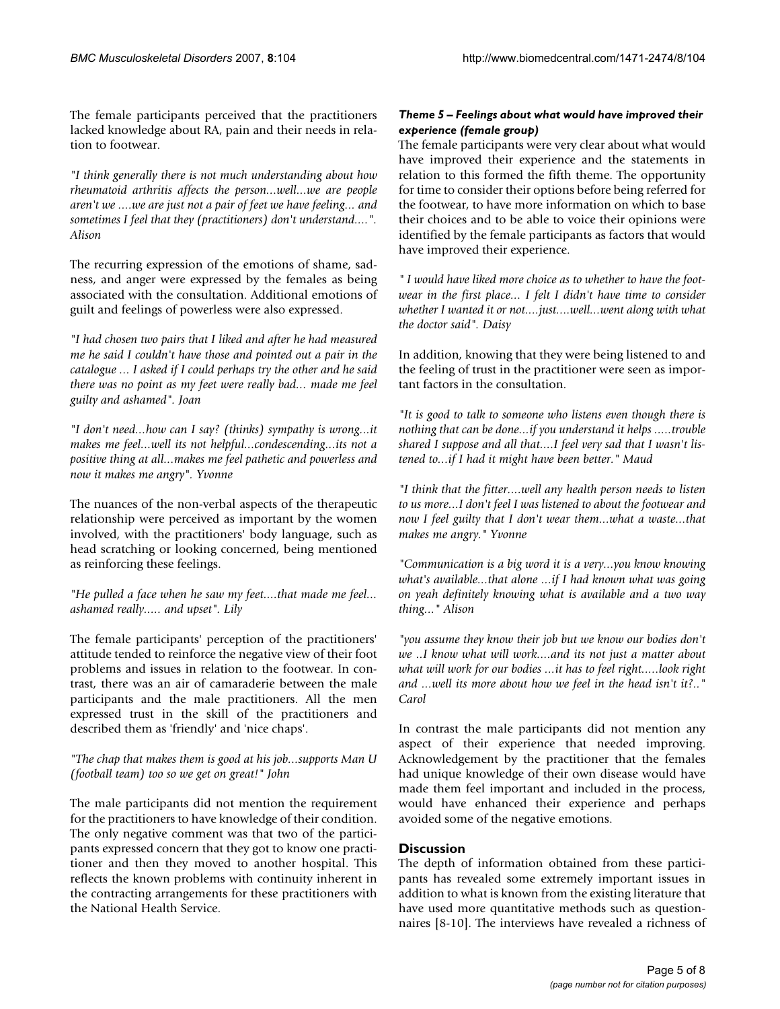The female participants perceived that the practitioners lacked knowledge about RA, pain and their needs in relation to footwear.

*"I think generally there is not much understanding about how rheumatoid arthritis affects the person...well...we are people aren't we ....we are just not a pair of feet we have feeling... and sometimes I feel that they (practitioners) don't understand....". Alison*

The recurring expression of the emotions of shame, sadness, and anger were expressed by the females as being associated with the consultation. Additional emotions of guilt and feelings of powerless were also expressed.

*"I had chosen two pairs that I liked and after he had measured me he said I couldn't have those and pointed out a pair in the catalogue ... I asked if I could perhaps try the other and he said there was no point as my feet were really bad... made me feel guilty and ashamed". Joan*

*"I don't need...how can I say? (thinks) sympathy is wrong...it makes me feel...well its not helpful...condescending...its not a positive thing at all...makes me feel pathetic and powerless and now it makes me angry". Yvonne*

The nuances of the non-verbal aspects of the therapeutic relationship were perceived as important by the women involved, with the practitioners' body language, such as head scratching or looking concerned, being mentioned as reinforcing these feelings.

*"He pulled a face when he saw my feet....that made me feel... ashamed really..... and upset". Lily*

The female participants' perception of the practitioners' attitude tended to reinforce the negative view of their foot problems and issues in relation to the footwear. In contrast, there was an air of camaraderie between the male participants and the male practitioners. All the men expressed trust in the skill of the practitioners and described them as 'friendly' and 'nice chaps'.

#### *"The chap that makes them is good at his job...supports Man U (football team) too so we get on great!" John*

The male participants did not mention the requirement for the practitioners to have knowledge of their condition. The only negative comment was that two of the participants expressed concern that they got to know one practitioner and then they moved to another hospital. This reflects the known problems with continuity inherent in the contracting arrangements for these practitioners with the National Health Service.

#### *Theme 5 – Feelings about what would have improved their experience (female group)*

The female participants were very clear about what would have improved their experience and the statements in relation to this formed the fifth theme. The opportunity for time to consider their options before being referred for the footwear, to have more information on which to base their choices and to be able to voice their opinions were identified by the female participants as factors that would have improved their experience.

*" I would have liked more choice as to whether to have the footwear in the first place... I felt I didn't have time to consider whether I wanted it or not....just....well...went along with what the doctor said". Daisy*

In addition, knowing that they were being listened to and the feeling of trust in the practitioner were seen as important factors in the consultation.

*"It is good to talk to someone who listens even though there is nothing that can be done...if you understand it helps .....trouble shared I suppose and all that....I feel very sad that I wasn't listened to...if I had it might have been better." Maud*

*"I think that the fitter....well any health person needs to listen to us more...I don't feel I was listened to about the footwear and now I feel guilty that I don't wear them...what a waste...that makes me angry." Yvonne*

*"Communication is a big word it is a very...you know knowing what's available...that alone ...if I had known what was going on yeah definitely knowing what is available and a two way thing..." Alison*

*"you assume they know their job but we know our bodies don't we ..I know what will work....and its not just a matter about what will work for our bodies ...it has to feel right.....look right and ...well its more about how we feel in the head isn't it?.." Carol*

In contrast the male participants did not mention any aspect of their experience that needed improving. Acknowledgement by the practitioner that the females had unique knowledge of their own disease would have made them feel important and included in the process, would have enhanced their experience and perhaps avoided some of the negative emotions.

### **Discussion**

The depth of information obtained from these participants has revealed some extremely important issues in addition to what is known from the existing literature that have used more quantitative methods such as questionnaires [8-10]. The interviews have revealed a richness of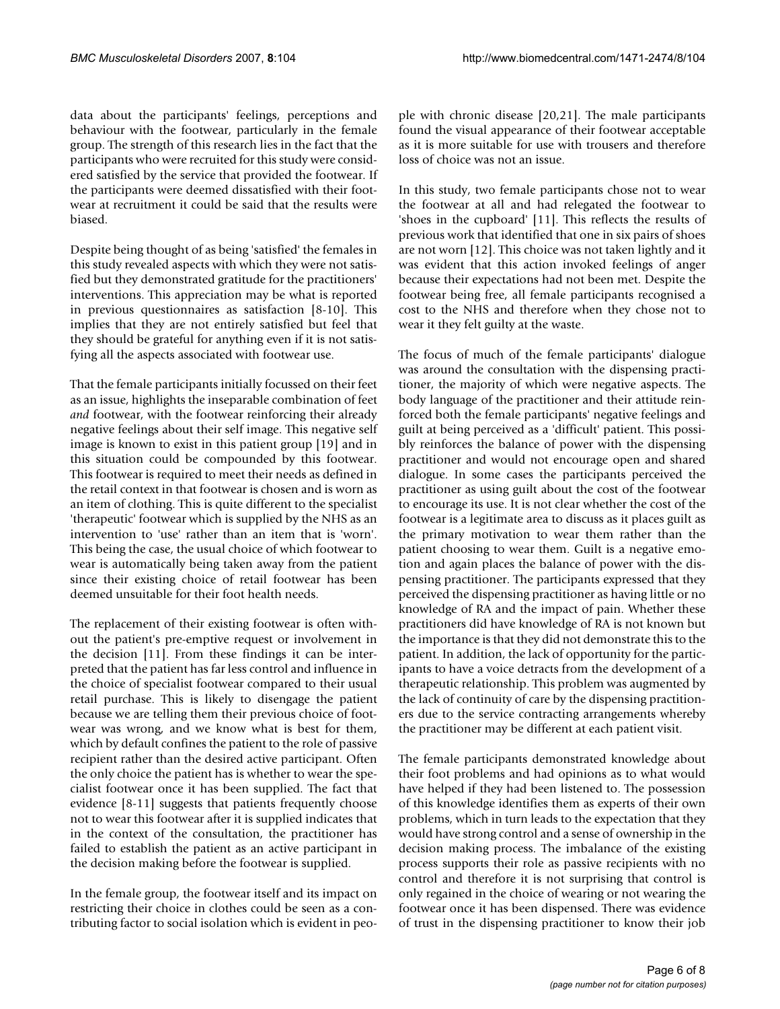data about the participants' feelings, perceptions and behaviour with the footwear, particularly in the female group. The strength of this research lies in the fact that the participants who were recruited for this study were considered satisfied by the service that provided the footwear. If the participants were deemed dissatisfied with their footwear at recruitment it could be said that the results were biased.

Despite being thought of as being 'satisfied' the females in this study revealed aspects with which they were not satisfied but they demonstrated gratitude for the practitioners' interventions. This appreciation may be what is reported in previous questionnaires as satisfaction [8-10]. This implies that they are not entirely satisfied but feel that they should be grateful for anything even if it is not satisfying all the aspects associated with footwear use.

That the female participants initially focussed on their feet as an issue, highlights the inseparable combination of feet *and* footwear, with the footwear reinforcing their already negative feelings about their self image. This negative self image is known to exist in this patient group [19] and in this situation could be compounded by this footwear. This footwear is required to meet their needs as defined in the retail context in that footwear is chosen and is worn as an item of clothing. This is quite different to the specialist 'therapeutic' footwear which is supplied by the NHS as an intervention to 'use' rather than an item that is 'worn'. This being the case, the usual choice of which footwear to wear is automatically being taken away from the patient since their existing choice of retail footwear has been deemed unsuitable for their foot health needs.

The replacement of their existing footwear is often without the patient's pre-emptive request or involvement in the decision [11]. From these findings it can be interpreted that the patient has far less control and influence in the choice of specialist footwear compared to their usual retail purchase. This is likely to disengage the patient because we are telling them their previous choice of footwear was wrong, and we know what is best for them, which by default confines the patient to the role of passive recipient rather than the desired active participant. Often the only choice the patient has is whether to wear the specialist footwear once it has been supplied. The fact that evidence [8-11] suggests that patients frequently choose not to wear this footwear after it is supplied indicates that in the context of the consultation, the practitioner has failed to establish the patient as an active participant in the decision making before the footwear is supplied.

In the female group, the footwear itself and its impact on restricting their choice in clothes could be seen as a contributing factor to social isolation which is evident in people with chronic disease [20,21]. The male participants found the visual appearance of their footwear acceptable as it is more suitable for use with trousers and therefore loss of choice was not an issue.

In this study, two female participants chose not to wear the footwear at all and had relegated the footwear to 'shoes in the cupboard' [11]. This reflects the results of previous work that identified that one in six pairs of shoes are not worn [12]. This choice was not taken lightly and it was evident that this action invoked feelings of anger because their expectations had not been met. Despite the footwear being free, all female participants recognised a cost to the NHS and therefore when they chose not to wear it they felt guilty at the waste.

The focus of much of the female participants' dialogue was around the consultation with the dispensing practitioner, the majority of which were negative aspects. The body language of the practitioner and their attitude reinforced both the female participants' negative feelings and guilt at being perceived as a 'difficult' patient. This possibly reinforces the balance of power with the dispensing practitioner and would not encourage open and shared dialogue. In some cases the participants perceived the practitioner as using guilt about the cost of the footwear to encourage its use. It is not clear whether the cost of the footwear is a legitimate area to discuss as it places guilt as the primary motivation to wear them rather than the patient choosing to wear them. Guilt is a negative emotion and again places the balance of power with the dispensing practitioner. The participants expressed that they perceived the dispensing practitioner as having little or no knowledge of RA and the impact of pain. Whether these practitioners did have knowledge of RA is not known but the importance is that they did not demonstrate this to the patient. In addition, the lack of opportunity for the participants to have a voice detracts from the development of a therapeutic relationship. This problem was augmented by the lack of continuity of care by the dispensing practitioners due to the service contracting arrangements whereby the practitioner may be different at each patient visit.

The female participants demonstrated knowledge about their foot problems and had opinions as to what would have helped if they had been listened to. The possession of this knowledge identifies them as experts of their own problems, which in turn leads to the expectation that they would have strong control and a sense of ownership in the decision making process. The imbalance of the existing process supports their role as passive recipients with no control and therefore it is not surprising that control is only regained in the choice of wearing or not wearing the footwear once it has been dispensed. There was evidence of trust in the dispensing practitioner to know their job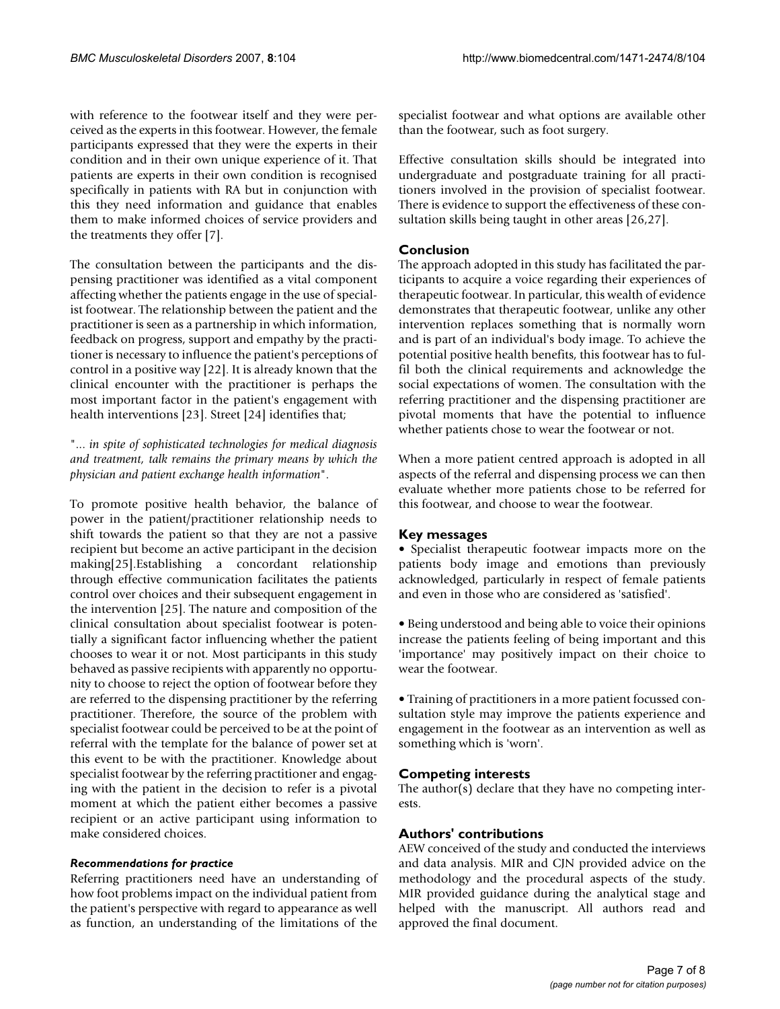with reference to the footwear itself and they were perceived as the experts in this footwear. However, the female participants expressed that they were the experts in their condition and in their own unique experience of it. That patients are experts in their own condition is recognised specifically in patients with RA but in conjunction with this they need information and guidance that enables them to make informed choices of service providers and the treatments they offer [7].

The consultation between the participants and the dispensing practitioner was identified as a vital component affecting whether the patients engage in the use of specialist footwear. The relationship between the patient and the practitioner is seen as a partnership in which information, feedback on progress, support and empathy by the practitioner is necessary to influence the patient's perceptions of control in a positive way [22]. It is already known that the clinical encounter with the practitioner is perhaps the most important factor in the patient's engagement with health interventions [23]. Street [24] identifies that;

"... *in spite of sophisticated technologies for medical diagnosis and treatment, talk remains the primary means by which the physician and patient exchange health information*".

To promote positive health behavior, the balance of power in the patient/practitioner relationship needs to shift towards the patient so that they are not a passive recipient but become an active participant in the decision making[25].Establishing a concordant relationship through effective communication facilitates the patients control over choices and their subsequent engagement in the intervention [25]. The nature and composition of the clinical consultation about specialist footwear is potentially a significant factor influencing whether the patient chooses to wear it or not. Most participants in this study behaved as passive recipients with apparently no opportunity to choose to reject the option of footwear before they are referred to the dispensing practitioner by the referring practitioner. Therefore, the source of the problem with specialist footwear could be perceived to be at the point of referral with the template for the balance of power set at this event to be with the practitioner. Knowledge about specialist footwear by the referring practitioner and engaging with the patient in the decision to refer is a pivotal moment at which the patient either becomes a passive recipient or an active participant using information to make considered choices.

### *Recommendations for practice*

Referring practitioners need have an understanding of how foot problems impact on the individual patient from the patient's perspective with regard to appearance as well as function, an understanding of the limitations of the specialist footwear and what options are available other than the footwear, such as foot surgery.

Effective consultation skills should be integrated into undergraduate and postgraduate training for all practitioners involved in the provision of specialist footwear. There is evidence to support the effectiveness of these consultation skills being taught in other areas [26,27].

# **Conclusion**

The approach adopted in this study has facilitated the participants to acquire a voice regarding their experiences of therapeutic footwear. In particular, this wealth of evidence demonstrates that therapeutic footwear, unlike any other intervention replaces something that is normally worn and is part of an individual's body image. To achieve the potential positive health benefits, this footwear has to fulfil both the clinical requirements and acknowledge the social expectations of women. The consultation with the referring practitioner and the dispensing practitioner are pivotal moments that have the potential to influence whether patients chose to wear the footwear or not.

When a more patient centred approach is adopted in all aspects of the referral and dispensing process we can then evaluate whether more patients chose to be referred for this footwear, and choose to wear the footwear.

### **Key messages**

• Specialist therapeutic footwear impacts more on the patients body image and emotions than previously acknowledged, particularly in respect of female patients and even in those who are considered as 'satisfied'.

• Being understood and being able to voice their opinions increase the patients feeling of being important and this 'importance' may positively impact on their choice to wear the footwear.

• Training of practitioners in a more patient focussed consultation style may improve the patients experience and engagement in the footwear as an intervention as well as something which is 'worn'.

# **Competing interests**

The author(s) declare that they have no competing interests.

### **Authors' contributions**

AEW conceived of the study and conducted the interviews and data analysis. MIR and CJN provided advice on the methodology and the procedural aspects of the study. MIR provided guidance during the analytical stage and helped with the manuscript. All authors read and approved the final document.